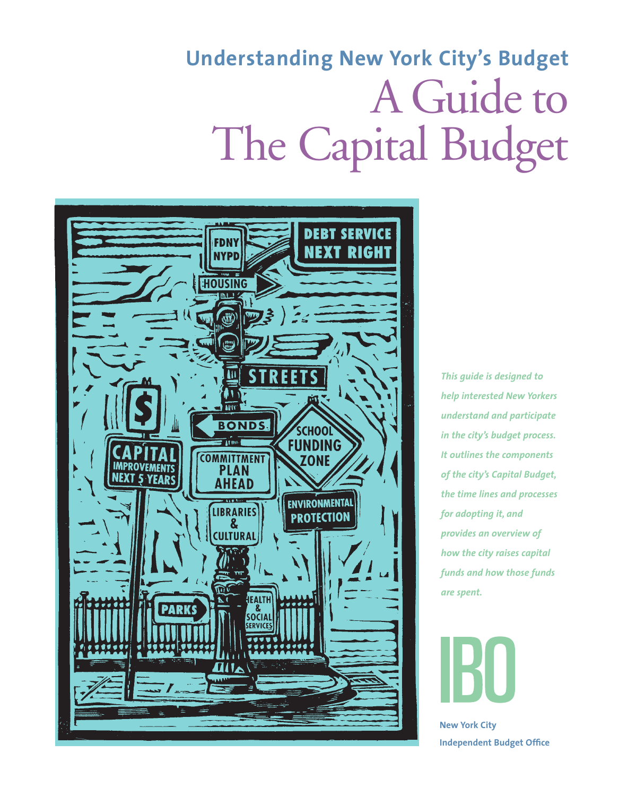# **Understanding New York City's Budget** A Guide to The Capital Budget



*This guide is designed to help interested New Yorkers understand and participate in the city's budget process. It outlines the components of the city's Capital Budget, the time lines and processes for adopting it, and provides an overview of how the city raises capital funds and how those funds are spent.* 



**New York City Independent Budget Office**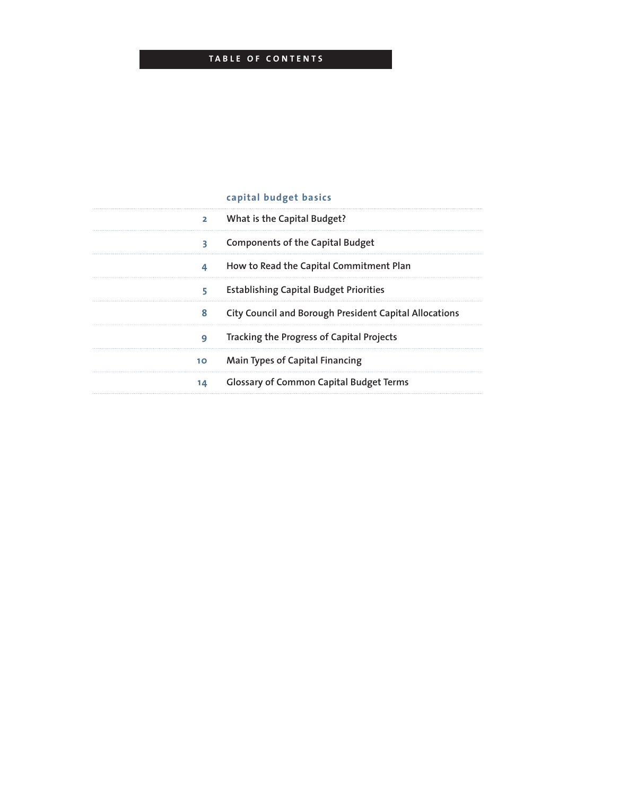### **T a bl e of C ont e nts**

### **capital budget basics**

| 2 What is the Capital Budget?                            |
|----------------------------------------------------------|
| 3 Components of the Capital Budget                       |
| 4 How to Read the Capital Commitment Plan                |
| 5 Establishing Capital Budget Priorities                 |
| 8 City Council and Borough President Capital Allocations |
| <b>9</b> Tracking the Progress of Capital Projects       |
| 10 Main Types of Capital Financing                       |
| 14 Glossary of Common Capital Budget Terms               |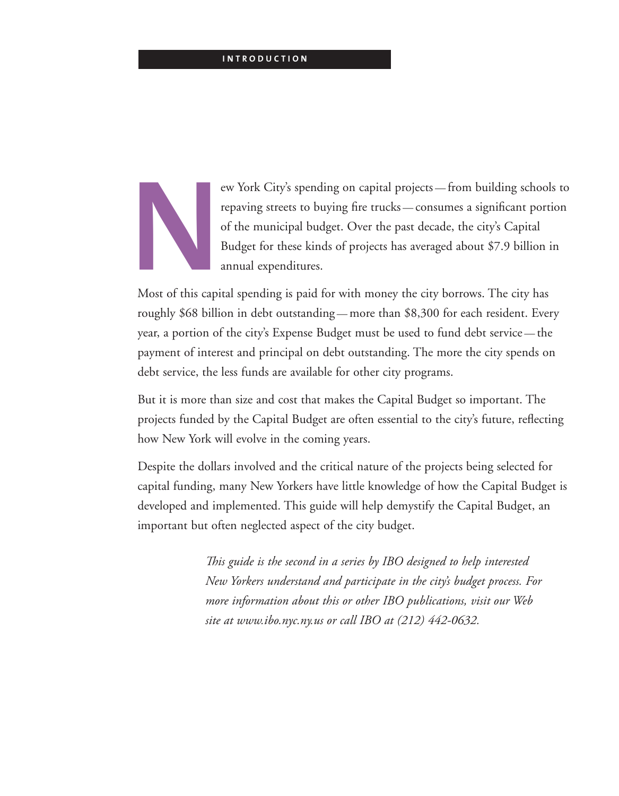#### **I ntroduction**



**New York City's spending on capital projects — from building schools to repaving streets to buying fire trucks — consumes a significant portion of the municipal budget. Over the past decade, the city's Capital Budget for** repaving streets to buying fire trucks — consumes a significant portion of the municipal budget. Over the past decade, the city's Capital Budget for these kinds of projects has averaged about \$7.9 billion in annual expenditures.

Most of this capital spending is paid for with money the city borrows. The city has roughly \$68 billion in debt outstanding — more than \$8,300 for each resident. Every year, a portion of the city's Expense Budget must be used to fund debt service — the payment of interest and principal on debt outstanding. The more the city spends on debt service, the less funds are available for other city programs.

But it is more than size and cost that makes the Capital Budget so important. The projects funded by the Capital Budget are often essential to the city's future, reflecting how New York will evolve in the coming years.

Despite the dollars involved and the critical nature of the projects being selected for capital funding, many New Yorkers have little knowledge of how the Capital Budget is developed and implemented. This guide will help demystify the Capital Budget, an important but often neglected aspect of the city budget.



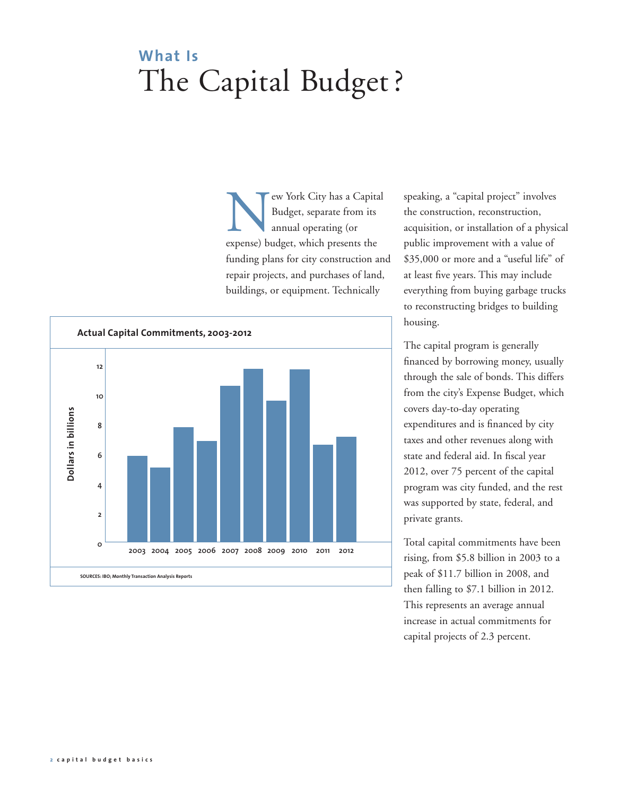# **What Is**  The Capital Budget ?

ew York City has a Capital Budget, separate from its annual operating (or expense) budget, which presents the funding plans for city construction and repair projects, and purchases of land, buildings, or equipment. Technically



speaking, a "capital project" involves the construction, reconstruction, acquisition, or installation of a physical public improvement with a value of \$35,000 or more and a "useful life" of at least five years. This may include everything from buying garbage trucks to reconstructing bridges to building housing.

The capital program is generally financed by borrowing money, usually through the sale of bonds. This differs from the city's Expense Budget, which covers day-to-day operating expenditures and is financed by city taxes and other revenues along with state and federal aid. In fiscal year 2012, over 75 percent of the capital program was city funded, and the rest was supported by state, federal, and private grants.

Total capital commitments have been rising, from \$5.8 billion in 2003 to a peak of \$11.7 billion in 2008, and then falling to \$7.1 billion in 2012. This represents an average annual increase in actual commitments for capital projects of 2.3 percent.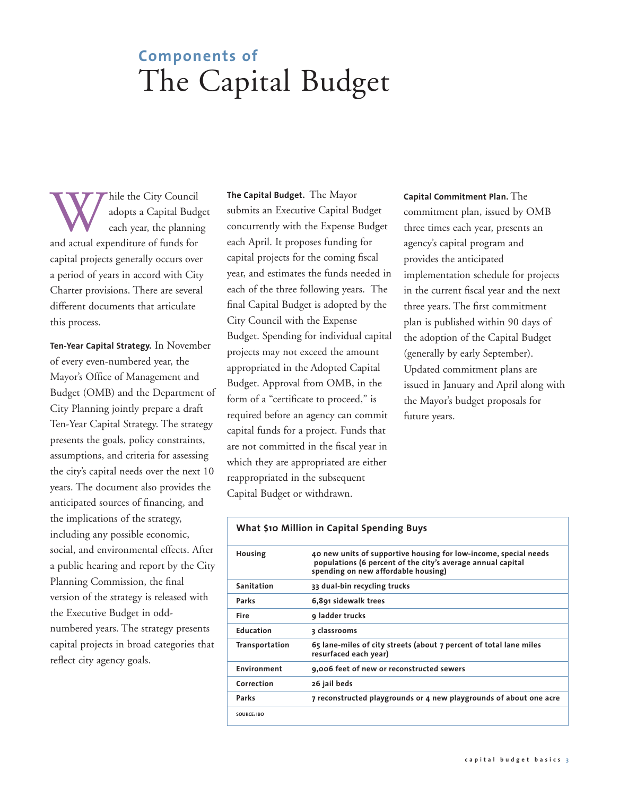# **Components of**  The Capital Budget

While the City Council<br>
adopts a Capital Budg<br>
each year, the plannin<br>
and actual expenditure of funds for adopts a Capital Budget each year, the planning capital projects generally occurs over a period of years in accord with City Charter provisions. There are several different documents that articulate this process.

**Ten-Year Capital Strategy.** In November of every even-numbered year, the Mayor's Office of Management and Budget (OMB) and the Department of City Planning jointly prepare a draft Ten-Year Capital Strategy. The strategy presents the goals, policy constraints, assumptions, and criteria for assessing the city's capital needs over the next 10 years. The document also provides the anticipated sources of financing, and the implications of the strategy, including any possible economic, social, and environmental effects. After a public hearing and report by the City Planning Commission, the final version of the strategy is released with the Executive Budget in oddnumbered years. The strategy presents capital projects in broad categories that reflect city agency goals.

**The Capital Budget.** The Mayor submits an Executive Capital Budget concurrently with the Expense Budget each April. It proposes funding for capital projects for the coming fiscal year, and estimates the funds needed in each of the three following years. The final Capital Budget is adopted by the City Council with the Expense Budget. Spending for individual capital projects may not exceed the amount appropriated in the Adopted Capital Budget. Approval from OMB, in the form of a "certificate to proceed," is required before an agency can commit capital funds for a project. Funds that are not committed in the fiscal year in which they are appropriated are either reappropriated in the subsequent Capital Budget or withdrawn.

**Capital Commitment Plan.** The commitment plan, issued by OMB three times each year, presents an agency's capital program and provides the anticipated implementation schedule for projects in the current fiscal year and the next three years. The first commitment plan is published within 90 days of the adoption of the Capital Budget (generally by early September). Updated commitment plans are issued in January and April along with the Mayor's budget proposals for future years.

| What \$10 Million in Capital Spending Buys |                                                                                                                                                                        |  |
|--------------------------------------------|------------------------------------------------------------------------------------------------------------------------------------------------------------------------|--|
| Housing                                    | 40 new units of supportive housing for low-income, special needs<br>populations (6 percent of the city's average annual capital<br>spending on new affordable housing) |  |
| Sanitation                                 | 33 dual-bin recycling trucks                                                                                                                                           |  |
| Parks                                      | 6,891 sidewalk trees                                                                                                                                                   |  |
| <b>Fire</b>                                | 9 ladder trucks                                                                                                                                                        |  |
| <b>Education</b>                           | ३ classrooms                                                                                                                                                           |  |
| <b>Transportation</b>                      | 65 lane-miles of city streets (about 7 percent of total lane miles<br>resurfaced each year)                                                                            |  |
| <b>Environment</b>                         | 9,006 feet of new or reconstructed sewers                                                                                                                              |  |
| Correction                                 | 26 jail beds                                                                                                                                                           |  |
| Parks                                      | 7 reconstructed playgrounds or 4 new playgrounds of about one acre                                                                                                     |  |
| <b>SOURCE: IBO</b>                         |                                                                                                                                                                        |  |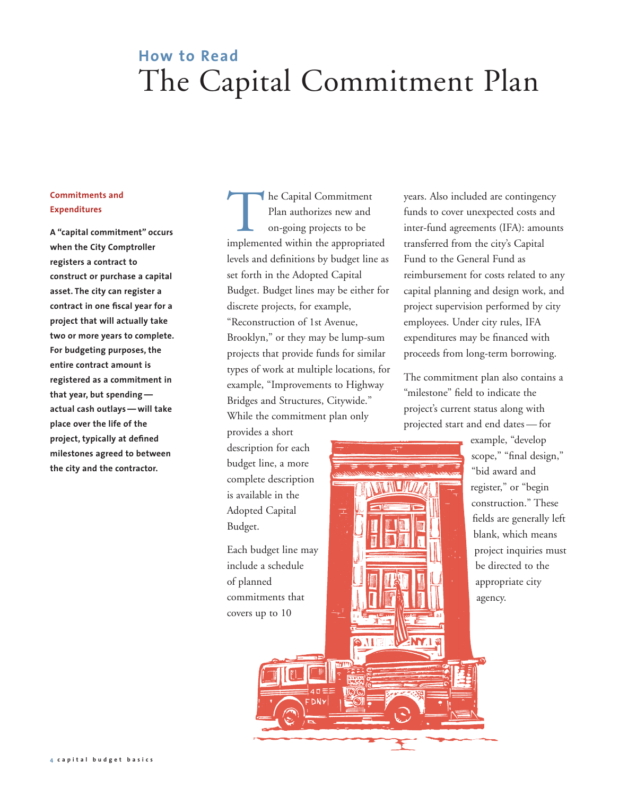### **How to Read**  The Capital Commitment Plan

#### **Commitments and Expenditures**

**A "capital commitment" occurs when the City Comptroller registers a contract to construct or purchase a capital asset. The city can register a contract in one fiscal year for a project that will actually take two or more years to complete. For budgeting purposes, the entire contract amount is registered as a commitment in that year, but spending actual cash outlays — will take place over the life of the project, typically at defined milestones agreed to between the city and the contractor.**

**The Capital Commitment** Plan authorizes new and on-going projects to be implemented within the appropriated levels and definitions by budget line as set forth in the Adopted Capital Budget. Budget lines may be either for discrete projects, for example, "Reconstruction of 1st Avenue, Brooklyn," or they may be lump-sum projects that provide funds for similar types of work at multiple locations, for example, "Improvements to Highway Bridges and Structures, Citywide." While the commitment plan only

provides a short description for each budget line, a more complete description is available in the Adopted Capital Budget.

Each budget line may include a schedule of planned commitments that covers up to 10

years. Also included are contingency funds to cover unexpected costs and inter-fund agreements (IFA): amounts transferred from the city's Capital Fund to the General Fund as reimbursement for costs related to any capital planning and design work, and project supervision performed by city employees. Under city rules, IFA expenditures may be financed with proceeds from long-term borrowing.

The commitment plan also contains a "milestone" field to indicate the project's current status along with projected start and end dates — for



example, "develop scope," "final design," "bid award and register," or "begin construction." These fields are generally left blank, which means project inquiries must be directed to the appropriate city agency.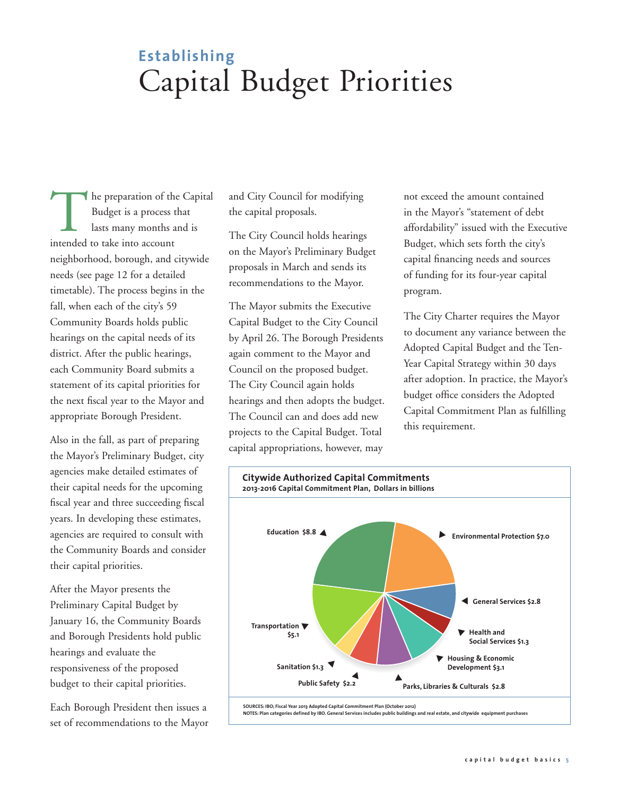# **Establishing**  Capital Budget Priorities

The preparation of the Capital Budget is a process that lasts many months and is intended to take into account neighborhood, borough, and citywide needs (see page 12 for a detailed timetable). The process begins in the fall, when each of the city's 59 Community Boards holds public hearings on the capital needs of its district. After the public hearings, each Community Board submits a statement of its capital priorities for the next fiscal year to the Mayor and appropriate Borough President.

Also in the fall, as part of preparing the Mayor's Preliminary Budget, city agencies make detailed estimates of their capital needs for the upcoming fiscal year and three succeeding fiscal years. In developing these estimates, agencies are required to consult with the Community Boards and consider their capital priorities.

After the Mayor presents the Preliminary Capital Budget by January 16, the Community Boards and Borough Presidents hold public hearings and evaluate the responsiveness of the proposed budget to their capital priorities.

Each Borough President then issues a set of recommendations to the Mayor and City Council for modifying the capital proposals.

The City Council holds hearings on the Mayor's Preliminary Budget proposals in March and sends its recommendations to the Mayor.

The Mayor submits the Executive Capital Budget to the City Council by April 26. The Borough Presidents again comment to the Mayor and Council on the proposed budget. The City Council again holds hearings and then adopts the budget. The Council can and does add new projects to the Capital Budget. Total capital appropriations, however, may

not exceed the amount contained in the Mayor's "statement of debt affordability" issued with the Executive Budget, which sets forth the city's capital financing needs and sources of funding for its four-year capital program.

The City Charter requires the Mayor to document any variance between the Adopted Capital Budget and the Ten-Year Capital Strategy within 30 days after adoption. In practice, the Mayor's budget office considers the Adopted Capital Commitment Plan as fulfilling this requirement.

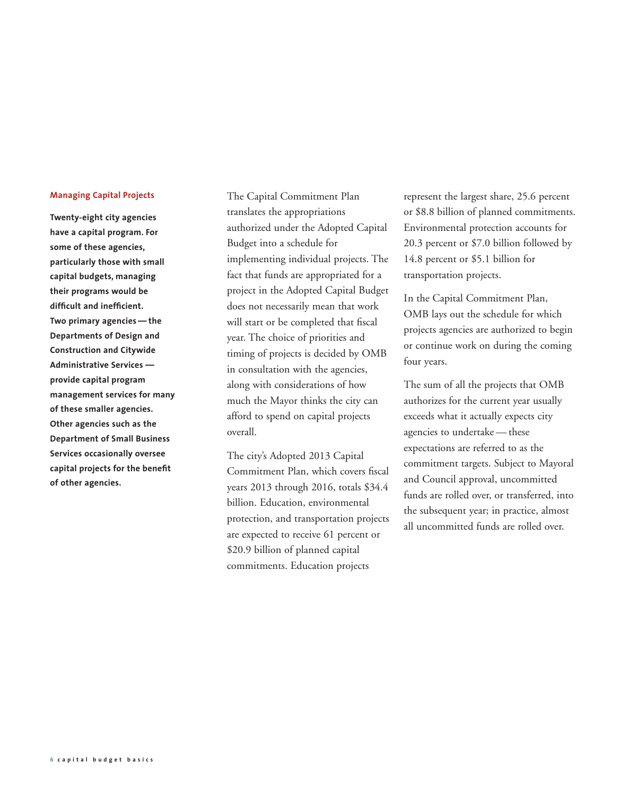#### **Managing Capital Projects**

**Twenty-eight city agencies have a capital program. For some of these agencies, particularly those with small capital budgets, managing their programs would be difficult and inefficient. Two primary agencies — the Departments of Design and Construction and Citywide Administrative Services provide capital program management services for many of these smaller agencies. Other agencies such as the Department of Small Business Services occasionally oversee capital projects for the benefit of other agencies.** 

The Capital Commitment Plan translates the appropriations authorized under the Adopted Capital Budget into a schedule for implementing individual projects. The fact that funds are appropriated for a project in the Adopted Capital Budget does not necessarily mean that work will start or be completed that fiscal year. The choice of priorities and timing of projects is decided by OMB in consultation with the agencies, along with considerations of how much the Mayor thinks the city can afford to spend on capital projects overall.

The city's Adopted 2013 Capital Commitment Plan, which covers fiscal years 2013 through 2016, totals \$34.4 billion. Education, environmental protection, and transportation projects are expected to receive 61 percent or \$20.9 billion of planned capital commitments. Education projects

represent the largest share, 25.6 percent or \$8.8 billion of planned commitments. Environmental protection accounts for 20.3 percent or \$7.0 billion followed by 14.8 percent or \$5.1 billion for transportation projects.

In the Capital Commitment Plan, OMB lays out the schedule for which projects agencies are authorized to begin or continue work on during the coming four years.

The sum of all the projects that OMB authorizes for the current year usually exceeds what it actually expects city agencies to undertake — these expectations are referred to as the commitment targets. Subject to Mayoral and Council approval, uncommitted funds are rolled over, or transferred, into the subsequent year; in practice, almost all uncommitted funds are rolled over.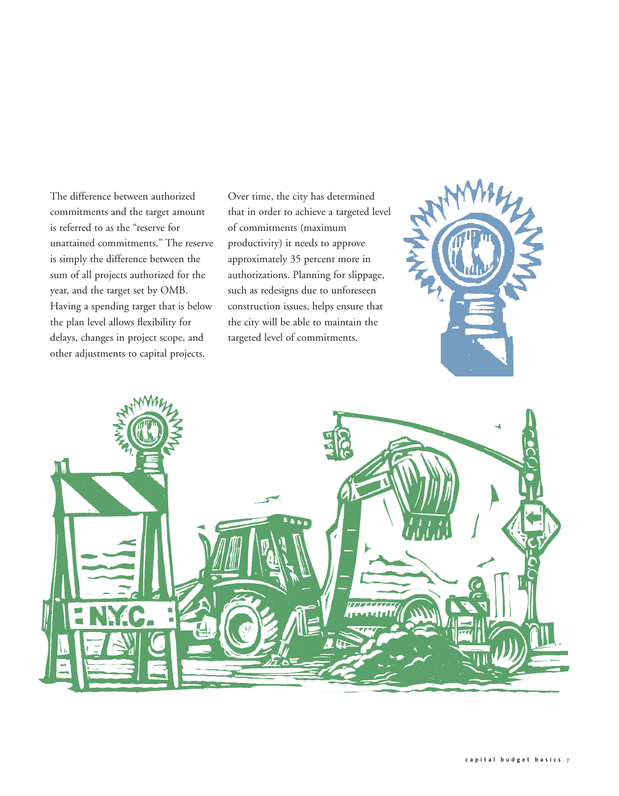The difference between authorized commitments and the target amount is referred to as the "reserve for unattained commitments." The reserve is simply the difference between the sum of all projects authorized for the year, and the target set by OMB. Having a spending target that is below the plan level allows flexibility for delays, changes in project scope, and other adjustments to capital projects.

Over time, the city has determined that in order to achieve a targeted level of commitments (maximum productivity) it needs to approve approximately 35 percent more in authorizations. Planning for slippage, such as redesigns due to unforeseen construction issues, helps ensure that the city will be able to maintain the targeted level of commitments.



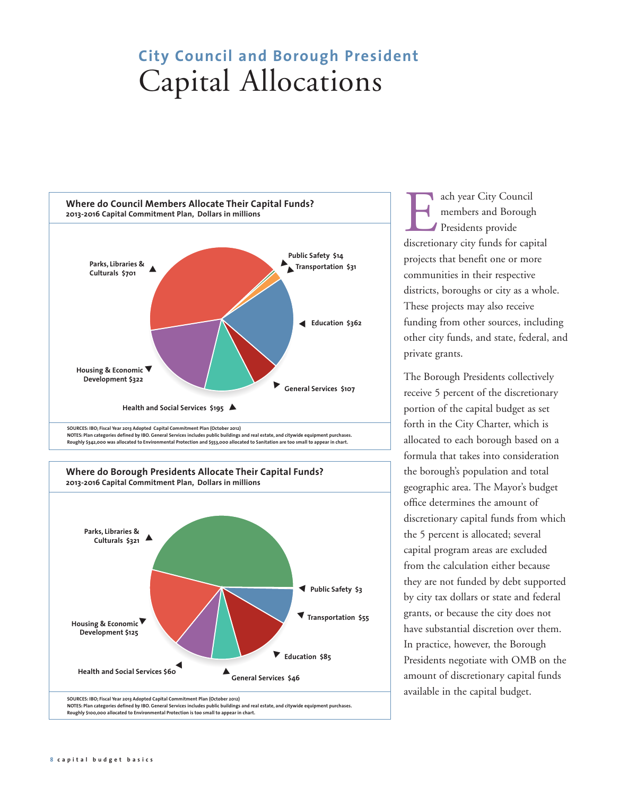### **City Council and Borough President**  Capital Allocations



ach year City Council members and Borough Presidents provide discretionary city funds for capital projects that benefit one or more communities in their respective districts, boroughs or city as a whole. These projects may also receive funding from other sources, including other city funds, and state, federal, and private grants.

The Borough Presidents collectively receive 5 percent of the discretionary portion of the capital budget as set forth in the City Charter, which is allocated to each borough based on a formula that takes into consideration the borough's population and total geographic area. The Mayor's budget office determines the amount of discretionary capital funds from which the 5 percent is allocated; several capital program areas are excluded from the calculation either because they are not funded by debt supported by city tax dollars or state and federal grants, or because the city does not have substantial discretion over them. In practice, however, the Borough Presidents negotiate with OMB on the amount of discretionary capital funds available in the capital budget.

**Roughly \$100,000 allocated to Environmental Protection is too small to appear in chart.**

**Health and Social Services \$60** ▲

**SOURCES: IBO; Fiscal Year 2013 Adopted Capital Commitment Plan (October 2012)**

**NOTES: Plan categories defined by IBO. General Services includes public buildings and real estate, and citywide equipment purchases.** 

▲

**General Services \$46**

▲

**Education \$85**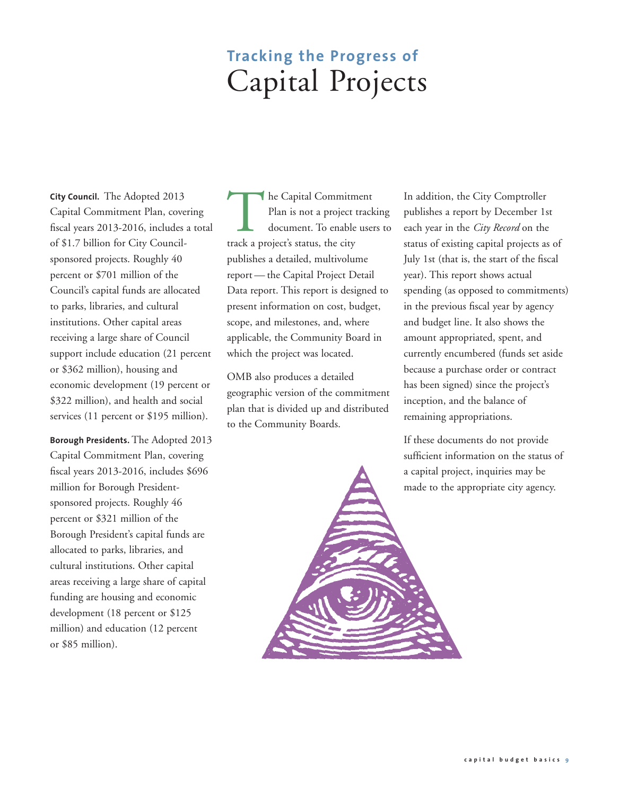### **Tracking the Progress of**  Capital Projects

**City Council.** The Adopted 2013 Capital Commitment Plan, covering fiscal years 2013-2016, includes a total of \$1.7 billion for City Councilsponsored projects. Roughly 40 percent or \$701 million of the Council's capital funds are allocated to parks, libraries, and cultural institutions. Other capital areas receiving a large share of Council support include education (21 percent or \$362 million), housing and economic development (19 percent or \$322 million), and health and social services (11 percent or \$195 million).

**Borough Presidents.** The Adopted 2013 Capital Commitment Plan, covering fiscal years 2013-2016, includes \$696 million for Borough Presidentsponsored projects. Roughly 46 percent or \$321 million of the Borough President's capital funds are allocated to parks, libraries, and cultural institutions. Other capital areas receiving a large share of capital funding are housing and economic development (18 percent or \$125 million) and education (12 percent or \$85 million).

The Capital Commitment<br>Plan is not a project track<br>document. To enable user<br>track a project's status, the city Plan is not a project tracking document. To enable users to track a project's status, the city publishes a detailed, multivolume report — the Capital Project Detail Data report. This report is designed to present information on cost, budget, scope, and milestones, and, where applicable, the Community Board in which the project was located.

OMB also produces a detailed geographic version of the commitment plan that is divided up and distributed to the Community Boards.

In addition, the City Comptroller publishes a report by December 1st each year in the *City Record* on the status of existing capital projects as of July 1st (that is, the start of the fiscal year). This report shows actual spending (as opposed to commitments) in the previous fiscal year by agency and budget line. It also shows the amount appropriated, spent, and currently encumbered (funds set aside because a purchase order or contract has been signed) since the project's inception, and the balance of remaining appropriations.

If these documents do not provide sufficient information on the status of a capital project, inquiries may be made to the appropriate city agency.

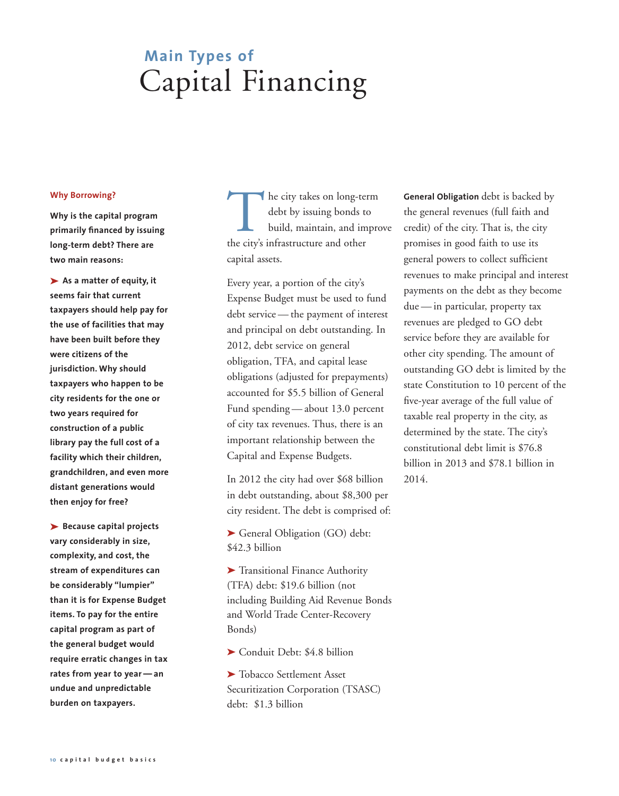## **Main Types of**  Capital Financing

#### **Why Borrowing?**

**Why is the capital program primarily financed by issuing long-term debt? There are two main reasons:**

➤ **As a matter of equity, it seems fair that current taxpayers should help pay for the use of facilities that may have been built before they were citizens of the jurisdiction. Why should taxpayers who happen to be city residents for the one or two years required for construction of a public library pay the full cost of a facility which their children, grandchildren, and even more distant generations would then enjoy for free?** 

➤ **Because capital projects vary considerably in size, complexity, and cost, the stream of expenditures can be considerably "lumpier" than it is for Expense Budget items. To pay for the entire capital program as part of the general budget would require erratic changes in tax rates from year to year — an undue and unpredictable burden on taxpayers.**

The city takes on long-term<br>debt by issuing bonds to<br>build, maintain, and impro<br>the city's infrastructure and other debt by issuing bonds to build, maintain, and improve the city's infrastructure and other capital assets.

Every year, a portion of the city's Expense Budget must be used to fund debt service — the payment of interest and principal on debt outstanding. In 2012, debt service on general obligation, TFA, and capital lease obligations (adjusted for prepayments) accounted for \$5.5 billion of General Fund spending — about 13.0 percent of city tax revenues. Thus, there is an important relationship between the Capital and Expense Budgets.

In 2012 the city had over \$68 billion in debt outstanding, about \$8,300 per city resident. The debt is comprised of:

➤ General Obligation (GO) debt: \$42.3 billion

➤ Transitional Finance Authority (TFA) debt: \$19.6 billion (not including Building Aid Revenue Bonds and World Trade Center-Recovery Bonds)

➤ Conduit Debt: \$4.8 billion

➤ Tobacco Settlement Asset Securitization Corporation (TSASC) debt: \$1.3 billion

**General Obligation** debt is backed by the general revenues (full faith and credit) of the city. That is, the city promises in good faith to use its general powers to collect sufficient revenues to make principal and interest payments on the debt as they become due — in particular, property tax revenues are pledged to GO debt service before they are available for other city spending. The amount of outstanding GO debt is limited by the state Constitution to 10 percent of the five-year average of the full value of taxable real property in the city, as determined by the state. The city's constitutional debt limit is \$76.8 billion in 2013 and \$78.1 billion in 2014.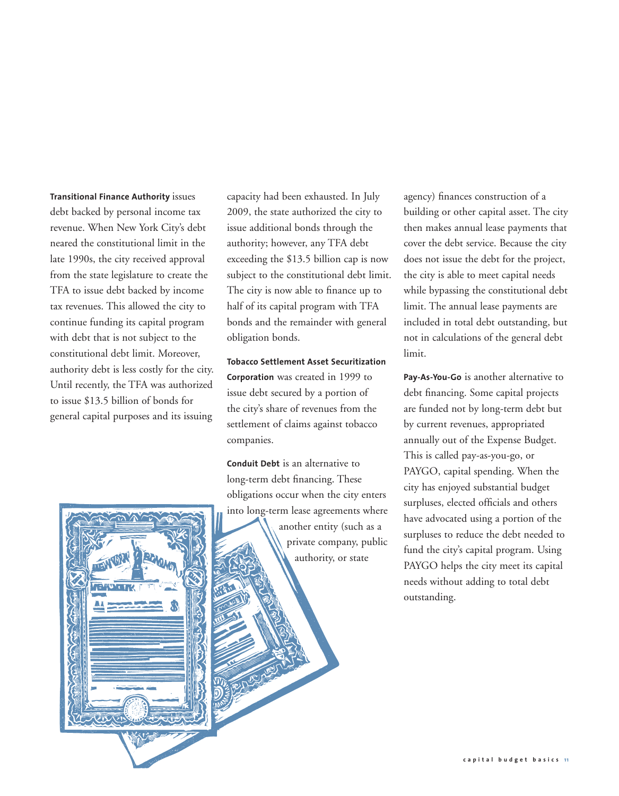#### **Transitional Finance Authority** issues

debt backed by personal income tax revenue. When New York City's debt neared the constitutional limit in the late 1990s, the city received approval from the state legislature to create the TFA to issue debt backed by income tax revenues. This allowed the city to continue funding its capital program with debt that is not subject to the constitutional debt limit. Moreover, authority debt is less costly for the city. Until recently, the TFA was authorized to issue \$13.5 billion of bonds for general capital purposes and its issuing capacity had been exhausted. In July 2009, the state authorized the city to issue additional bonds through the authority; however, any TFA debt exceeding the \$13.5 billion cap is now subject to the constitutional debt limit. The city is now able to finance up to half of its capital program with TFA bonds and the remainder with general obligation bonds.

**Tobacco Settlement Asset Securitization Corporation** was created in 1999 to issue debt secured by a portion of the city's share of revenues from the settlement of claims against tobacco companies.

**Conduit Debt** is an alternative to long-term debt financing. These obligations occur when the city enters into long-term lease agreements where another entity (such as a private company, public authority, or state

agency) finances construction of a building or other capital asset. The city then makes annual lease payments that cover the debt service. Because the city does not issue the debt for the project, the city is able to meet capital needs while bypassing the constitutional debt limit. The annual lease payments are included in total debt outstanding, but not in calculations of the general debt limit.

**Pay-As-You-Go** is another alternative to debt financing. Some capital projects are funded not by long-term debt but by current revenues, appropriated annually out of the Expense Budget. This is called pay-as-you-go, or PAYGO, capital spending. When the city has enjoyed substantial budget surpluses, elected officials and others have advocated using a portion of the surpluses to reduce the debt needed to fund the city's capital program. Using PAYGO helps the city meet its capital needs without adding to total debt outstanding.

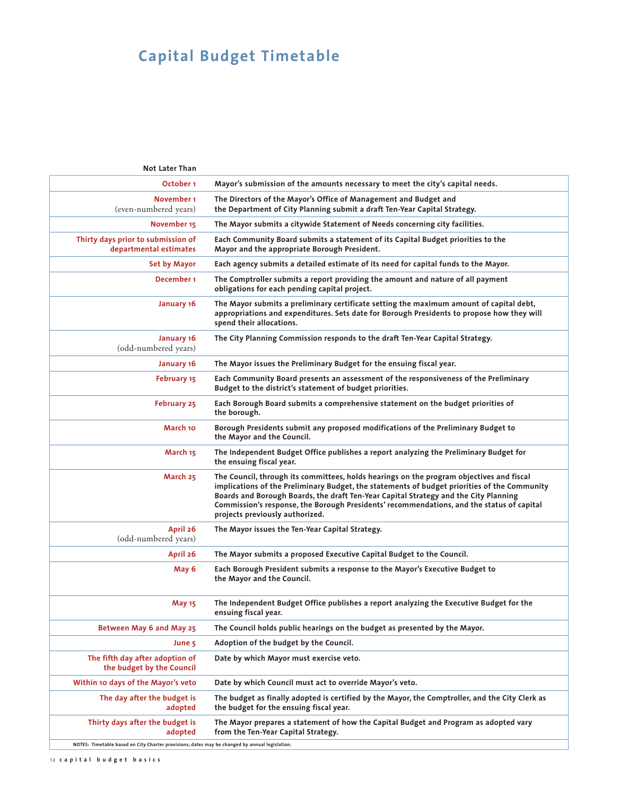### **Capital Budget Timetable**

| <b>Not Later Than</b>                                                                          |                                                                                                                                                                                                                                                                                                                                                                                                                  |
|------------------------------------------------------------------------------------------------|------------------------------------------------------------------------------------------------------------------------------------------------------------------------------------------------------------------------------------------------------------------------------------------------------------------------------------------------------------------------------------------------------------------|
| October <sub>1</sub>                                                                           | Mayor's submission of the amounts necessary to meet the city's capital needs.                                                                                                                                                                                                                                                                                                                                    |
| November 1<br>(even-numbered years)                                                            | The Directors of the Mayor's Office of Management and Budget and<br>the Department of City Planning submit a draft Ten-Year Capital Strategy.                                                                                                                                                                                                                                                                    |
| November 15                                                                                    | The Mayor submits a citywide Statement of Needs concerning city facilities.                                                                                                                                                                                                                                                                                                                                      |
| Thirty days prior to submission of<br>departmental estimates                                   | Each Community Board submits a statement of its Capital Budget priorities to the<br>Mayor and the appropriate Borough President.                                                                                                                                                                                                                                                                                 |
| <b>Set by Mayor</b>                                                                            | Each agency submits a detailed estimate of its need for capital funds to the Mayor.                                                                                                                                                                                                                                                                                                                              |
| December 1                                                                                     | The Comptroller submits a report providing the amount and nature of all payment<br>obligations for each pending capital project.                                                                                                                                                                                                                                                                                 |
| January 16                                                                                     | The Mayor submits a preliminary certificate setting the maximum amount of capital debt,<br>appropriations and expenditures. Sets date for Borough Presidents to propose how they will<br>spend their allocations.                                                                                                                                                                                                |
| January 16<br>(odd-numbered years)                                                             | The City Planning Commission responds to the draft Ten-Year Capital Strategy.                                                                                                                                                                                                                                                                                                                                    |
| January 16                                                                                     | The Mayor issues the Preliminary Budget for the ensuing fiscal year.                                                                                                                                                                                                                                                                                                                                             |
| <b>February 15</b>                                                                             | Each Community Board presents an assessment of the responsiveness of the Preliminary<br>Budget to the district's statement of budget priorities.                                                                                                                                                                                                                                                                 |
| February 25                                                                                    | Each Borough Board submits a comprehensive statement on the budget priorities of<br>the borough.                                                                                                                                                                                                                                                                                                                 |
| March 10                                                                                       | Borough Presidents submit any proposed modifications of the Preliminary Budget to<br>the Mayor and the Council.                                                                                                                                                                                                                                                                                                  |
| March 15                                                                                       | The Independent Budget Office publishes a report analyzing the Preliminary Budget for<br>the ensuing fiscal year.                                                                                                                                                                                                                                                                                                |
| March 25                                                                                       | The Council, through its committees, holds hearings on the program objectives and fiscal<br>implications of the Preliminary Budget, the statements of budget priorities of the Community<br>Boards and Borough Boards, the draft Ten-Year Capital Strategy and the City Planning<br>Commission's response, the Borough Presidents' recommendations, and the status of capital<br>projects previously authorized. |
| April 26<br>(odd-numbered years)                                                               | The Mayor issues the Ten-Year Capital Strategy.                                                                                                                                                                                                                                                                                                                                                                  |
| April 26                                                                                       | The Mayor submits a proposed Executive Capital Budget to the Council.                                                                                                                                                                                                                                                                                                                                            |
| May 6                                                                                          | Each Borough President submits a response to the Mayor's Executive Budget to<br>the Mayor and the Council.                                                                                                                                                                                                                                                                                                       |
| May 15                                                                                         | The Independent Budget Office publishes a report analyzing the Executive Budget for the<br>ensuing fiscal year.                                                                                                                                                                                                                                                                                                  |
| Between May 6 and May 25                                                                       | The Council holds public hearings on the budget as presented by the Mayor.                                                                                                                                                                                                                                                                                                                                       |
| June 5                                                                                         | Adoption of the budget by the Council.                                                                                                                                                                                                                                                                                                                                                                           |
| The fifth day after adoption of<br>the budget by the Council                                   | Date by which Mayor must exercise veto.                                                                                                                                                                                                                                                                                                                                                                          |
| Within 10 days of the Mayor's veto                                                             | Date by which Council must act to override Mayor's veto.                                                                                                                                                                                                                                                                                                                                                         |
| The day after the budget is<br>adopted                                                         | The budget as finally adopted is certified by the Mayor, the Comptroller, and the City Clerk as<br>the budget for the ensuing fiscal year.                                                                                                                                                                                                                                                                       |
| Thirty days after the budget is<br>adopted                                                     | The Mayor prepares a statement of how the Capital Budget and Program as adopted vary<br>from the Ten-Year Capital Strategy.                                                                                                                                                                                                                                                                                      |
| NOTES: Timetable based on City Charter provisions; dates may be changed by annual legislation. |                                                                                                                                                                                                                                                                                                                                                                                                                  |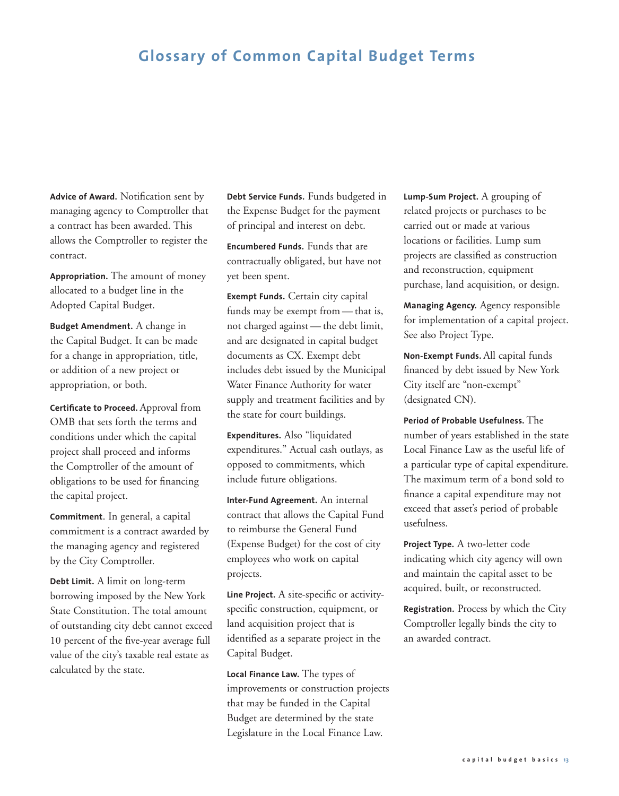### **Glossary of Common Capital Budget Terms**

**Advice of Award.** Notification sent by managing agency to Comptroller that a contract has been awarded. This allows the Comptroller to register the contract.

**Appropriation.** The amount of money allocated to a budget line in the Adopted Capital Budget.

**Budget Amendment.** A change in the Capital Budget. It can be made for a change in appropriation, title, or addition of a new project or appropriation, or both.

**Certificate to Proceed.** Approval from OMB that sets forth the terms and conditions under which the capital project shall proceed and informs the Comptroller of the amount of obligations to be used for financing the capital project.

**Commitment**. In general, a capital commitment is a contract awarded by the managing agency and registered by the City Comptroller.

**Debt Limit.** A limit on long-term borrowing imposed by the New York State Constitution. The total amount of outstanding city debt cannot exceed 10 percent of the five-year average full value of the city's taxable real estate as calculated by the state.

**Debt Service Funds.** Funds budgeted in the Expense Budget for the payment of principal and interest on debt.

**Encumbered Funds.** Funds that are contractually obligated, but have not yet been spent.

**Exempt Funds.** Certain city capital funds may be exempt from — that is, not charged against — the debt limit, and are designated in capital budget documents as CX. Exempt debt includes debt issued by the Municipal Water Finance Authority for water supply and treatment facilities and by the state for court buildings.

**Expenditures.** Also "liquidated expenditures." Actual cash outlays, as opposed to commitments, which include future obligations.

**Inter-Fund Agreement.** An internal contract that allows the Capital Fund to reimburse the General Fund (Expense Budget) for the cost of city employees who work on capital projects.

**Line Project.** A site-specific or activityspecific construction, equipment, or land acquisition project that is identified as a separate project in the Capital Budget.

**Local Finance Law.** The types of improvements or construction projects that may be funded in the Capital Budget are determined by the state Legislature in the Local Finance Law.

**Lump-Sum Project.** A grouping of related projects or purchases to be carried out or made at various locations or facilities. Lump sum projects are classified as construction and reconstruction, equipment purchase, land acquisition, or design.

**Managing Agency.** Agency responsible for implementation of a capital project. See also Project Type.

**Non-Exempt Funds.** All capital funds financed by debt issued by New York City itself are "non-exempt" (designated CN).

**Period of Probable Usefulness.** The number of years established in the state Local Finance Law as the useful life of a particular type of capital expenditure. The maximum term of a bond sold to finance a capital expenditure may not exceed that asset's period of probable usefulness.

**Project Type.** A two-letter code indicating which city agency will own and maintain the capital asset to be acquired, built, or reconstructed.

**Registration.** Process by which the City Comptroller legally binds the city to an awarded contract.